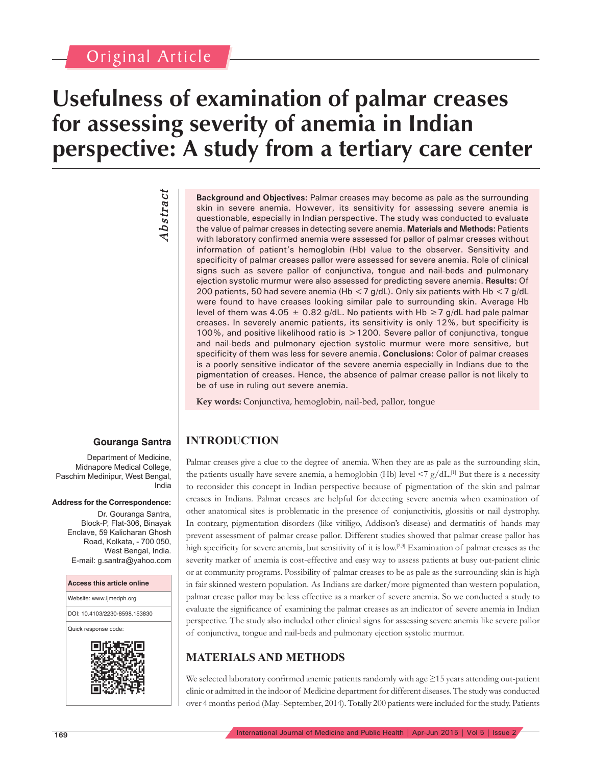## Original Article

## **Usefulness of examination of palmar creases for assessing severity of anemia in Indian perspective: A study from a tertiary care center**

# Abstract *Abstract*

**Background and Objectives:** Palmar creases may become as pale as the surrounding skin in severe anemia. However, its sensitivity for assessing severe anemia is questionable, especially in Indian perspective. The study was conducted to evaluate the value of palmar creases in detecting severe anemia. **Materials and Methods:** Patients with laboratory confirmed anemia were assessed for pallor of palmar creases without information of patient's hemoglobin (Hb) value to the observer. Sensitivity and specificity of palmar creases pallor were assessed for severe anemia. Role of clinical signs such as severe pallor of conjunctiva, tongue and nail-beds and pulmonary ejection systolic murmur were also assessed for predicting severe anemia. **Results:** Of 200 patients, 50 had severe anemia (Hb <7 g/dL). Only six patients with Hb <7 g/dL were found to have creases looking similar pale to surrounding skin. Average Hb level of them was 4.05  $\pm$  0.82 g/dL. No patients with Hb  $\geq$ 7 g/dL had pale palmar creases. In severely anemic patients, its sensitivity is only 12%, but specificity is 100%, and positive likelihood ratio is >1200. Severe pallor of conjunctiva, tongue and nail-beds and pulmonary ejection systolic murmur were more sensitive, but specificity of them was less for severe anemia. **Conclusions:** Color of palmar creases is a poorly sensitive indicator of the severe anemia especially in Indians due to the pigmentation of creases. Hence, the absence of palmar crease pallor is not likely to be of use in ruling out severe anemia.

**Key words:** Conjunctiva, hemoglobin, nail-bed, pallor, tongue

## **Gouranga Santra**

Department of Medicine, Midnapore Medical College, Paschim Medinipur, West Bengal, India

#### **Address for the Correspondence:**

Dr. Gouranga Santra, Block-P, Flat-306, Binayak Enclave, 59 Kalicharan Ghosh Road, Kolkata, - 700 050, West Bengal, India. E-mail: g.santra@yahoo.com

## **Access this article online**

Website: www.ijmedph.org

DOI: 10.4103/2230-8598.153830

Quick response code:



**INTRODUCTION**

Palmar creases give a clue to the degree of anemia. When they are as pale as the surrounding skin, the patients usually have severe anemia, a hemoglobin (Hb) level  $\leq$  g/dL.<sup>[1]</sup> But there is a necessity to reconsider this concept in Indian perspective because of pigmentation of the skin and palmar creases in Indians. Palmar creases are helpful for detecting severe anemia when examination of other anatomical sites is problematic in the presence of conjunctivitis, glossitis or nail dystrophy. In contrary, pigmentation disorders (like vitiligo, Addison's disease) and dermatitis of hands may prevent assessment of palmar crease pallor. Different studies showed that palmar crease pallor has high specificity for severe anemia, but sensitivity of it is low.<sup>[2,3]</sup> Examination of palmar creases as the severity marker of anemia is cost-effective and easy way to assess patients at busy out-patient clinic or at community programs. Possibility of palmar creases to be as pale as the surrounding skin is high in fair skinned western population. As Indians are darker/more pigmented than western population, palmar crease pallor may be less effective as a marker of severe anemia. So we conducted a study to evaluate the significance of examining the palmar creases as an indicator of severe anemia in Indian perspective. The study also included other clinical signs for assessing severe anemia like severe pallor of conjunctiva, tongue and nail-beds and pulmonary ejection systolic murmur.

## **MATERIALS AND METHODS**

We selected laboratory confirmed anemic patients randomly with age  $\geq$ 15 years attending out-patient clinic or admitted in the indoor of Medicine department for different diseases. The study was conducted over 4 months period (May–September, 2014). Totally 200 patients were included for the study. Patients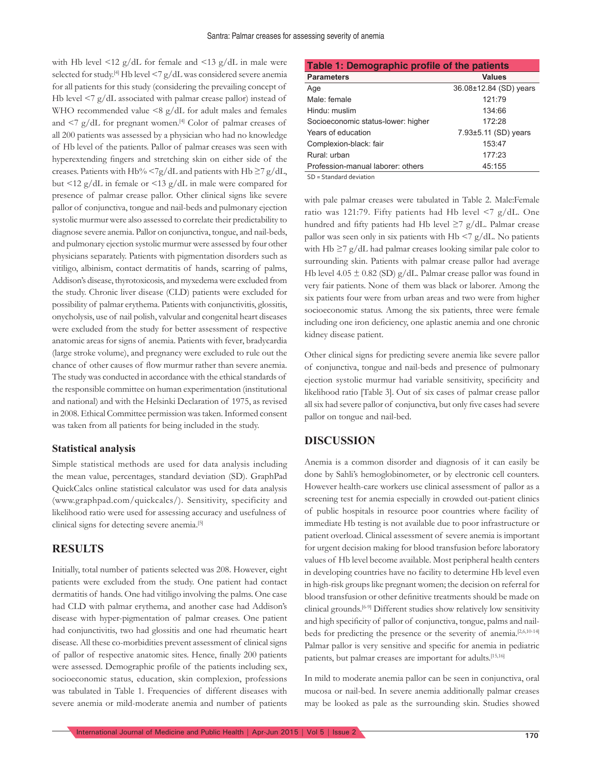with Hb level  $\langle 12 \text{ g/d}$ L for female and  $\langle 13 \text{ g/d}$ L in male were selected for study.<sup>[4]</sup> Hb level <7 g/dL was considered severe anemia for all patients for this study (considering the prevailing concept of Hb level  $\langle 7 \text{ g}/\text{d}L$  associated with palmar crease pallor) instead of WHO recommended value <8 g/dL for adult males and females and  $\langle 7 \text{ g/d}$ L for pregnant women.<sup>[4]</sup> Color of palmar creases of all 200 patients was assessed by a physician who had no knowledge of Hb level of the patients. Pallor of palmar creases was seen with hyperextending fingers and stretching skin on either side of the creases. Patients with Hb% <7g/dL and patients with Hb  $\geq$ 7 g/dL, but  $\langle 12 \text{ g}/d\text{L}$  in female or  $\langle 13 \text{ g}/d\text{L}$  in male were compared for presence of palmar crease pallor. Other clinical signs like severe pallor of conjunctiva, tongue and nail-beds and pulmonary ejection systolic murmur were also assessed to correlate their predictability to diagnose severe anemia. Pallor on conjunctiva, tongue, and nail-beds, and pulmonary ejection systolic murmur were assessed by four other physicians separately. Patients with pigmentation disorders such as vitiligo, albinism, contact dermatitis of hands, scarring of palms, Addison's disease, thyrotoxicosis, and myxedema were excluded from the study. Chronic liver disease (CLD) patients were excluded for possibility of palmar erythema. Patients with conjunctivitis, glossitis, onycholysis, use of nail polish, valvular and congenital heart diseases were excluded from the study for better assessment of respective anatomic areas for signs of anemia. Patients with fever, bradycardia (large stroke volume), and pregnancy were excluded to rule out the chance of other causes of flow murmur rather than severe anemia. The study was conducted in accordance with the ethical standards of the responsible committee on human experimentation (institutional and national) and with the Helsinki Declaration of 1975, as revised in 2008. Ethical Committee permission was taken. Informed consent was taken from all patients for being included in the study.

### **Statistical analysis**

Simple statistical methods are used for data analysis including the mean value, percentages, standard deviation (SD). GraphPad QuickCalcs online statistical calculator was used for data analysis (www.graphpad.com/quickcalcs/). Sensitivity, specificity and likelihood ratio were used for assessing accuracy and usefulness of clinical signs for detecting severe anemia.[5]

### **RESULTS**

Initially, total number of patients selected was 208. However, eight patients were excluded from the study. One patient had contact dermatitis of hands. One had vitiligo involving the palms. One case had CLD with palmar erythema, and another case had Addison's disease with hyper-pigmentation of palmar creases. One patient had conjunctivitis, two had glossitis and one had rheumatic heart disease. All these co-morbidities prevent assessment of clinical signs of pallor of respective anatomic sites. Hence, finally 200 patients were assessed. Demographic profile of the patients including sex, socioeconomic status, education, skin complexion, professions was tabulated in Table 1. Frequencies of different diseases with severe anemia or mild-moderate anemia and number of patients

| Table 1: Demographic profile of the patients |                        |  |  |  |  |
|----------------------------------------------|------------------------|--|--|--|--|
| <b>Parameters</b>                            | <b>Values</b>          |  |  |  |  |
| Age                                          | 36.08±12.84 (SD) years |  |  |  |  |
| Male: female                                 | 121:79                 |  |  |  |  |
| Hindu: muslim                                | 134:66                 |  |  |  |  |
| Socioeconomic status-lower: higher           | 172:28                 |  |  |  |  |
| Years of education                           | 7.93±5.11 (SD) years   |  |  |  |  |
| Complexion-black: fair                       | 153:47                 |  |  |  |  |
| Rural: urban                                 | 177:23                 |  |  |  |  |
| Profession-manual laborer: others            | 45:155                 |  |  |  |  |
|                                              |                        |  |  |  |  |

SD = Standard deviation

with pale palmar creases were tabulated in Table 2. Male:Female ratio was 121:79. Fifty patients had Hb level <7 g/dL. One hundred and fifty patients had Hb level  $\geq$ 7 g/dL. Palmar crease pallor was seen only in six patients with Hb  $\leq$  g/dL. No patients with Hb ≥7 g/dL had palmar creases looking similar pale color to surrounding skin. Patients with palmar crease pallor had average Hb level 4.05  $\pm$  0.82 (SD) g/dL. Palmar crease pallor was found in very fair patients. None of them was black or laborer. Among the six patients four were from urban areas and two were from higher socioeconomic status. Among the six patients, three were female including one iron deficiency, one aplastic anemia and one chronic kidney disease patient.

Other clinical signs for predicting severe anemia like severe pallor of conjunctiva, tongue and nail-beds and presence of pulmonary ejection systolic murmur had variable sensitivity, specificity and likelihood ratio [Table 3]. Out of six cases of palmar crease pallor all six had severe pallor of conjunctiva, but only five cases had severe pallor on tongue and nail-bed.

## **DISCUSSION**

Anemia is a common disorder and diagnosis of it can easily be done by Sahli's hemoglobinometer, or by electronic cell counters. However health-care workers use clinical assessment of pallor as a screening test for anemia especially in crowded out-patient clinics of public hospitals in resource poor countries where facility of immediate Hb testing is not available due to poor infrastructure or patient overload. Clinical assessment of severe anemia is important for urgent decision making for blood transfusion before laboratory values of Hb level become available. Most peripheral health centers in developing countries have no facility to determine Hb level even in high-risk groups like pregnant women; the decision on referral for blood transfusion or other definitive treatments should be made on clinical grounds.[6-9] Different studies show relatively low sensitivity and high specificity of pallor of conjunctiva, tongue, palms and nailbeds for predicting the presence or the severity of anemia.<sup>[2,6,10-14]</sup> Palmar pallor is very sensitive and specific for anemia in pediatric patients, but palmar creases are important for adults.<sup>[15,16]</sup>

In mild to moderate anemia pallor can be seen in conjunctiva, oral mucosa or nail-bed. In severe anemia additionally palmar creases may be looked as pale as the surrounding skin. Studies showed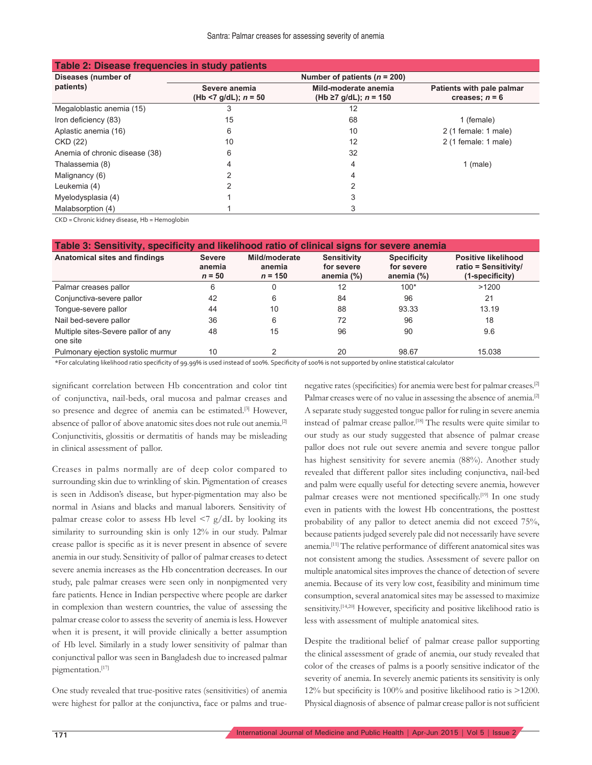| Table 2: Disease frequencies in study patients  |                                               |  |  |  |  |  |  |
|-------------------------------------------------|-----------------------------------------------|--|--|--|--|--|--|
| Number of patients ( $n = 200$ )                |                                               |  |  |  |  |  |  |
| Mild-moderate anemia<br>(Hb ≥7 g/dL); $n = 150$ | Patients with pale palmar<br>creases; $n = 6$ |  |  |  |  |  |  |
| 12                                              |                                               |  |  |  |  |  |  |
| 68                                              | 1 (female)                                    |  |  |  |  |  |  |
| 10                                              | $2(1$ female: 1 male)                         |  |  |  |  |  |  |
| 12                                              | 2 (1 female: 1 male)                          |  |  |  |  |  |  |
| 32                                              |                                               |  |  |  |  |  |  |
| 4                                               | $1$ (male)                                    |  |  |  |  |  |  |
| 4                                               |                                               |  |  |  |  |  |  |
| 2                                               |                                               |  |  |  |  |  |  |
| 3                                               |                                               |  |  |  |  |  |  |
| 3                                               |                                               |  |  |  |  |  |  |
|                                                 |                                               |  |  |  |  |  |  |

CKD = Chronic kidney disease, Hb = Hemoglobin

| Table 3: Sensitivity, specificity and likelihood ratio of clinical signs for severe anemia |                                     |                                      |                                                |                                                |                                                                       |  |  |
|--------------------------------------------------------------------------------------------|-------------------------------------|--------------------------------------|------------------------------------------------|------------------------------------------------|-----------------------------------------------------------------------|--|--|
| Anatomical sites and findings                                                              | <b>Severe</b><br>anemia<br>$n = 50$ | Mild/moderate<br>anemia<br>$n = 150$ | <b>Sensitivity</b><br>for severe<br>anemia (%) | <b>Specificity</b><br>for severe<br>anemia (%) | <b>Positive likelihood</b><br>ratio = Sensitivity/<br>(1-specificity) |  |  |
| Palmar creases pallor                                                                      | 6                                   | 0                                    | 12                                             | $100*$                                         | >1200                                                                 |  |  |
| Conjunctiva-severe pallor                                                                  | 42                                  | 6                                    | 84                                             | 96                                             | 21                                                                    |  |  |
| Tongue-severe pallor                                                                       | 44                                  | 10                                   | 88                                             | 93.33                                          | 13.19                                                                 |  |  |
| Nail bed-severe pallor                                                                     | 36                                  | 6                                    | 72                                             | 96                                             | 18                                                                    |  |  |
| Multiple sites-Severe pallor of any<br>one site                                            | 48                                  | 15                                   | 96                                             | 90                                             | 9.6                                                                   |  |  |
| Pulmonary ejection systolic murmur                                                         | 10                                  |                                      | 20                                             | 98.67                                          | 15.038                                                                |  |  |

\*For calculating likelihood ratio specifi city of 99.99% is used instead of 100%. Specifi city of 100% is not supported by online statistical calculator

significant correlation between Hb concentration and color tint of conjunctiva, nail-beds, oral mucosa and palmar creases and so presence and degree of anemia can be estimated.<sup>[3]</sup> However, absence of pallor of above anatomic sites does not rule out anemia.[2] Conjunctivitis, glossitis or dermatitis of hands may be misleading in clinical assessment of pallor.

Creases in palms normally are of deep color compared to surrounding skin due to wrinkling of skin. Pigmentation of creases is seen in Addison's disease, but hyper-pigmentation may also be normal in Asians and blacks and manual laborers. Sensitivity of palmar crease color to assess Hb level  $\leq$  g/dL by looking its similarity to surrounding skin is only 12% in our study. Palmar crease pallor is specific as it is never present in absence of severe anemia in our study. Sensitivity of pallor of palmar creases to detect severe anemia increases as the Hb concentration decreases. In our study, pale palmar creases were seen only in nonpigmented very fare patients. Hence in Indian perspective where people are darker in complexion than western countries, the value of assessing the palmar crease color to assess the severity of anemia is less. However when it is present, it will provide clinically a better assumption of Hb level. Similarly in a study lower sensitivity of palmar than conjunctival pallor was seen in Bangladesh due to increased palmar pigmentation.[17]

One study revealed that true-positive rates (sensitivities) of anemia were highest for pallor at the conjunctiva, face or palms and truenegative rates (specificities) for anemia were best for palmar creases.<sup>[2]</sup> Palmar creases were of no value in assessing the absence of anemia.<sup>[2]</sup> A separate study suggested tongue pallor for ruling in severe anemia instead of palmar crease pallor.[18] The results were quite similar to our study as our study suggested that absence of palmar crease pallor does not rule out severe anemia and severe tongue pallor has highest sensitivity for severe anemia (88%). Another study revealed that different pallor sites including conjunctiva, nail-bed and palm were equally useful for detecting severe anemia, however palmar creases were not mentioned specifically.<sup>[19]</sup> In one study even in patients with the lowest Hb concentrations, the posttest probability of any pallor to detect anemia did not exceed 75%, because patients judged severely pale did not necessarily have severe anemia.[11] The relative performance of different anatomical sites was not consistent among the studies. Assessment of severe pallor on multiple anatomical sites improves the chance of detection of severe anemia. Because of its very low cost, feasibility and minimum time consumption, several anatomical sites may be assessed to maximize sensitivity.<sup>[14,20]</sup> However, specificity and positive likelihood ratio is less with assessment of multiple anatomical sites.

Despite the traditional belief of palmar crease pallor supporting the clinical assessment of grade of anemia, our study revealed that color of the creases of palms is a poorly sensitive indicator of the severity of anemia. In severely anemic patients its sensitivity is only 12% but specificity is 100% and positive likelihood ratio is  $>$ 1200. Physical diagnosis of absence of palmar crease pallor is not sufficient